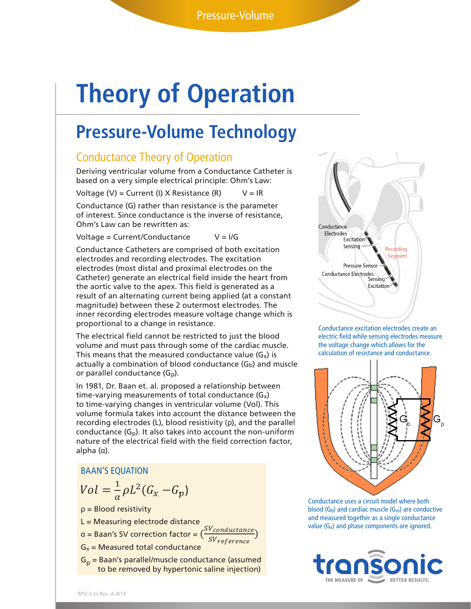# **Theory of Operation**

# **Pressure-Volume Technology**

## Conductance Theory of Operation

Deriving ventricular volume from a Conductance Catheter is based on a very simple electrical principle: Ohm's Law:

Voltage (V) = Current (I) X Resistance (R)  $V = IR$ 

Conductance (G) rather than resistance is the parameter of interest. Since conductance is the inverse of resistance, Ohm's Law can be rewritten as:

Voltage =  $Current/Conductance$   $V = I/G$ 

Conductance Catheters are comprised of both excitation electrodes and recording electrodes. The excitation electrodes (most distal and proximal electrodes on the Catheter) generate an electrical field inside the heart from the aortic valve to the apex. This field is generated as a result of an alternating current being applied (at a constant magnitude) between these 2 outermost electrodes. The inner recording electrodes measure voltage change which is proportional to a change in resistance.

The electrical field cannot be restricted to just the blood electric field while sensing electrodes measure volume and must pass through some of the cardiac muscle. This means that the measured conductance value  $(G_x)$  is actually a combination of blood conductance  $(G_b)$  and muscle or parallel conductance (Gp).

A mathematical review of SV correction factors employed in Basic review of the SV correction of the SV correctionship between **In 1981, Dr. Baan et. al. proposed a relationship between** time-varying measurements of total conductance (G<sub>x</sub>)<br>to time-varying changes in ventricular volume (Vol). Th hature of the electrical field with the field correction factor,<br>alake (a) to time-varying changes in ventricular volume (Vol). This volume formula takes into account the distance between the recording electrodes (L), blood resistivity (ρ), and the parallel conductance  $(G_p)$ . It also takes into account the non-uniform alpha (α).

### BAAN'S EQUATION

$$
Vol = \frac{1}{\alpha} \rho L^2 (G_x - G_p)
$$

ρ = Blood resistivity

L = Measuring electrode distance

 $\alpha$  = Baan's SV correction factor =  $\frac{S{V}}{S{V}}$  reference

 $G_x$  = Measured total conductance SV ref er

 $G_p$  = Baan's parallel/muscle conductance (assumed<br> $G_p$  = Baan's parallel/muscle conductance (assumed<br> $G_p$ to be removed by hypertonic saline injection)

correction factor. Therefore, after satisfying Vp by admittance we can understand Baan's equation as:



 March, 2013 calculation of resistance and conductance. Conductance excitation electrodes create an electric field while sensing electrodes measure the voltage change which allows for the



 $T$  compared between Baan  $\mathcal{L}$  conductive process between Baan  $\mathcal{L}$  and  $\mathcal{L}$  and  $\mathcal{L}$  and cardiac muscle (G<sub>m</sub>) are conductive **Value (G<sub>x</sub>) and phase components are ignored.**<br> **(1)** Gx = measured TOTAL conductance and measured together as a single conductance in  $\mathbb{R}^n$ Conductance uses a circuit model where both

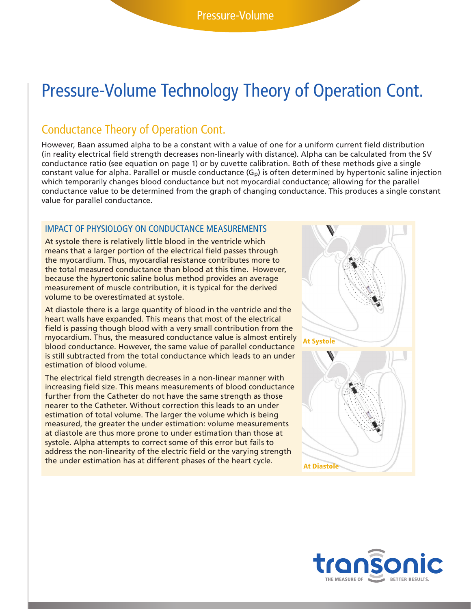# Pressure-Volume Technology Theory of Operation Cont.

### Conductance Theory of Operation Cont.

However, Baan assumed alpha to be a constant with a value of one for a uniform current field distribution (in reality electrical field strength decreases non-linearly with distance). Alpha can be calculated from the SV conductance ratio (see equation on page 1) or by cuvette calibration. Both of these methods give a single constant value for alpha. Parallel or muscle conductance  $(G_p)$  is often determined by hypertonic saline injection which temporarily changes blood conductance but not myocardial conductance; allowing for the parallel conductance value to be determined from the graph of changing conductance. This produces a single constant value for parallel conductance.

#### IMPACT OF PHYSIOLOGY ON CONDUCTANCE MEASUREMENTS

At systole there is relatively little blood in the ventricle which means that a larger portion of the electrical field passes through the myocardium. Thus, myocardial resistance contributes more to the total measured conductance than blood at this time. However, because the hypertonic saline bolus method provides an average measurement of muscle contribution, it is typical for the derived volume to be overestimated at systole.

At diastole there is a large quantity of blood in the ventricle and the heart walls have expanded. This means that most of the electrical field is passing though blood with a very small contribution from the myocardium. Thus, the measured conductance value is almost entirely blood conductance. However, the same value of parallel conductance is still subtracted from the total conductance which leads to an under estimation of blood volume.

The electrical field strength decreases in a non-linear manner with increasing field size. This means measurements of blood conductance further from the Catheter do not have the same strength as those nearer to the Catheter. Without correction this leads to an under estimation of total volume. The larger the volume which is being measured, the greater the under estimation: volume measurements at diastole are thus more prone to under estimation than those at systole. Alpha attempts to correct some of this error but fails to address the non-linearity of the electric field or the varying strength the under estimation has at different phases of the heart cycle.



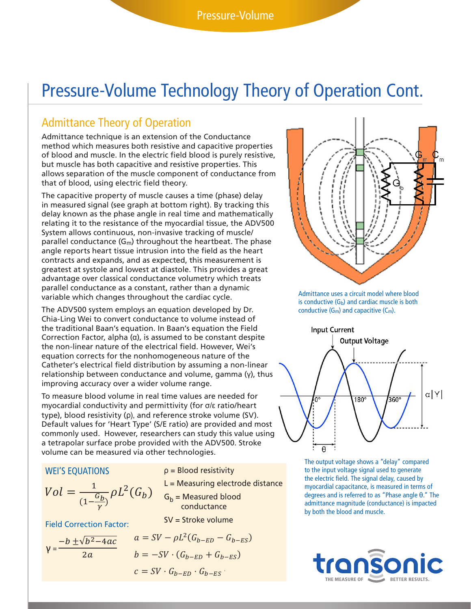# Pressure-Volume Technology Theory of Operation Cont.

# Admittance Theory of Operation

**Admittance Theory or operation:**<br>Admittance technique is an extension of the Conductance method which measures both resistive and capacitive properties of blood and muscle. In the electric field blood is purely resistive, but muscle has both capacitive and resistive properties. This allows separation of the muscle component of conductance from  $\frac{1}{n}$ that of blood, using electric field theory.<br> **Transfer A. Hence A. Hence A. Hence A. Hence A. Hence A. Hence A. Hence A. Hence A. Hence A. Hence A. Hence A.** 

The capacitive property of muscle causes a time (phase) delay in measured signal (see graph at bottom right). By tracking this delay known as the phase angle in real time and mathematically relating it to the resistance of the myocardial tissue, the ADV500<br>
System allows continuous, non-invasive tracking of muscle/ relating it to the resistance of the myocardial tissue, the ADV500<br>System allows continuous, non-invasive tracking of muscle/ parallel conductance (G<sub>m</sub>) throughout the heartbeat. The phase  $\frac{1}{2}$  substitution factor, we will use the points in the points in the sample points in the points in the points in the points in the parallel of the sam angle reports heart tissue intrusion into the field as the heart **Transport of the removed by hypertonic saline in** contracts and expands, and as expected, this measurement is greatest at systole and lowest at diastole. This provides a great **Weilbrand is developed to any stage of the cardiac cycle.** advantage over classical conductance volumetry which treats parallel conductance as a constant, rather than a dynamic will not use a hypertonic saline bolus process to calculate Admittance uses a circuit model which changes throughout the cardiac cycle.<br>Variable which changes throughout the cardiac cycle.<br>is conductive (G<sub>b</sub>) and cardiac musc ρ = blood resistivity<br>Γεγονότα

variable which changes un'oughout the cardiac cycle.<br>The ADV500 system employs an equation developed by Dr. Chia-Ling Wei to convert conductance to volume instead of the conductance of the capacitie (e.g.). chia-Ling wer to convert conductance to volume instead of<br>the traditional Baan's equation. In Baan's equation the Field linguit Current  $\frac{m}{2}$  Correction Factor, alpha ( $\alpha$ ), is assumed to be constant despite the non-linear nature of the electrical field. However, Wei's equation corrects for the nonhomogeneous nature of the equation corrects for the nonhomogeneous nature of the<br>Catheter's electrical field distribution by assuming a non-linear<br>relationship hetween conductance and volume, gamma (v), thu **Connective Conductance and volume, gamma (γ), thus** elationship between conductance and volume, gamma (γ), thus improving accuracy over a wider volume,<br>improving accuracy over a wider volume range. This term of the contract conductance to volume instead of<br>he traditional Baan's equation. In Baan's equation the Field line of the line of the current The ADV500 system employs an equation developed by Dr.  $\qquad \qquad \text{conductive (G_m) and ca}$ electrical field<br>p between cor

*F* and the values are needed for **1.2 Ohman 2016** *p*  $\frac{1}{2}$  *p*  $\frac{1}{2}$  *p*  $\frac{1}{2}$  *p*  $\frac{1}{2}$  *p*  $\frac{1}{2}$  *p*  $\frac{1}{2}$  *p*  $\frac{1}{2}$  *p*  $\frac{1}{2}$  *p*  $\frac{1}{2}$  *p*  $\frac{1}{2}$  *p*  $\frac$ myocardial conductivity and permittivity (for σ/ε ratio/heart type), blood resistivity (p), and reference stroke volume (SV).<br>Default values for 'Heart Type' (S/E ratio) are provided and most type), blood resistivity (p), and reference stroke volume (Sv).<br>Default values for 'Heart Type' (S/E ratio) are provided and most **Exercise can estimate the CD ED** ratio, are provided and most commonly used. However, researchers can study this value using commonly used. However, researchers can study this value us<br>a tetrapolar surface probe provided with the ADV500. Stroke  $V = 1$ <br>volume can be measured via other technologies.<br>The output volume of the measured via other technologies.  $\mathcal{L}$  =  $\mathcal{L}$  =  $\mathcal{L}$  =  $\mathcal{L}$  =  $\mathcal{L}$  =  $\mathcal{L}$  =  $\mathcal{L}$  =  $\mathcal{L}$  =  $\mathcal{L}$  =  $\mathcal{L}$  =  $\mathcal{L}$  =  $\mathcal{L}$  =  $\mathcal{L}$  =  $\mathcal{L}$  =  $\mathcal{L}$  =  $\mathcal{L}$  =  $\mathcal{L}$  =  $\mathcal{L}$  =  $\mathcal{L}$  =  $\mathcal{L}$  =

#### WEI'S EQUATIONS

$$
Vol = \frac{1}{(1 - \frac{G_b}{\gamma})} \rho L^2(G_b)
$$

Field Correction Factor:

 $\gamma = \frac{-b \pm \sqrt{b^2-4ac}}{2a}$  $2a$ 

ρ = Blood resistivity

L = Measuring electrode distance = − · (− + −) −32(0.855 + 0.465) **= - 42.2400** G<sub>b</sub> = Measured blood  $(1-\frac{G_b}{\gamma})^{PL}$  ( $\alpha$ *b*)  $G_b$  = Measured blood<br>conductance SV = Stroke volume  $\frac{1}{2}$   $\frac{1}{2}$  $G_b$  = Measured blood <mark>ring electrode dista</mark>n  $G_b$  = Measured blood  $\ddot{\ }$ blo ndde

$$
a = SV - \rho L^{2}(G_{b-ED} - G_{b-ES})
$$
\n
$$
b = -SV \cdot (G_{b-ED} + G_{b-ES})
$$
\n
$$
c = SV \cdot C \cdot C
$$



Admittance uses a circuit model where blood is conductive  $(G_b)$  and cardiac muscle is both conductive  $(G_m)$  and capacitive  $(C_m)$ .



The output voltage shows a "delay" compared involving and the output voltage shows a "delay" compared **od resistivity parallel increases to the input voltage signal used to generate** the electric field. The signal delay, caused by myocardial capacitance, is measured in terms of degrees and is referred to as "Phase angle θ." The admittance magnitude (conductance) is impacted by both the blood and muscle.